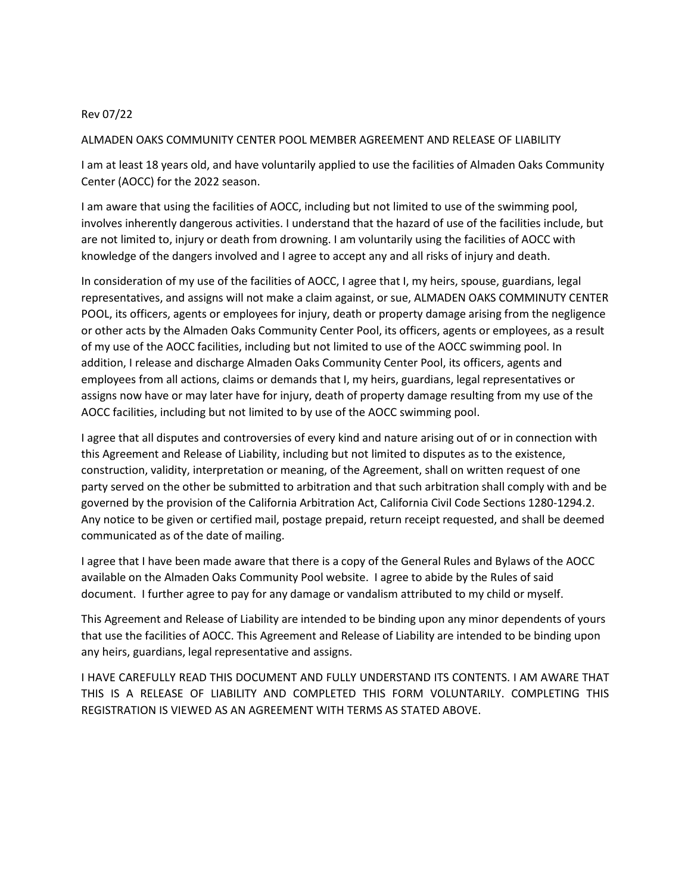## Rev 07/22

## ALMADEN OAKS COMMUNITY CENTER POOL MEMBER AGREEMENT AND RELEASE OF LIABILITY

I am at least 18 years old, and have voluntarily applied to use the facilities of Almaden Oaks Community Center (AOCC) for the 2022 season.

I am aware that using the facilities of AOCC, including but not limited to use of the swimming pool, involves inherently dangerous activities. I understand that the hazard of use of the facilities include, but are not limited to, injury or death from drowning. I am voluntarily using the facilities of AOCC with knowledge of the dangers involved and I agree to accept any and all risks of injury and death.

In consideration of my use of the facilities of AOCC, I agree that I, my heirs, spouse, guardians, legal representatives, and assigns will not make a claim against, or sue, ALMADEN OAKS COMMINUTY CENTER POOL, its officers, agents or employees for injury, death or property damage arising from the negligence or other acts by the Almaden Oaks Community Center Pool, its officers, agents or employees, as a result of my use of the AOCC facilities, including but not limited to use of the AOCC swimming pool. In addition, I release and discharge Almaden Oaks Community Center Pool, its officers, agents and employees from all actions, claims or demands that I, my heirs, guardians, legal representatives or assigns now have or may later have for injury, death of property damage resulting from my use of the AOCC facilities, including but not limited to by use of the AOCC swimming pool.

I agree that all disputes and controversies of every kind and nature arising out of or in connection with this Agreement and Release of Liability, including but not limited to disputes as to the existence, construction, validity, interpretation or meaning, of the Agreement, shall on written request of one party served on the other be submitted to arbitration and that such arbitration shall comply with and be governed by the provision of the California Arbitration Act, California Civil Code Sections 1280-1294.2. Any notice to be given or certified mail, postage prepaid, return receipt requested, and shall be deemed communicated as of the date of mailing.

I agree that I have been made aware that there is a copy of the General Rules and Bylaws of the AOCC available on the Almaden Oaks Community Pool website. I agree to abide by the Rules of said document. I further agree to pay for any damage or vandalism attributed to my child or myself.

This Agreement and Release of Liability are intended to be binding upon any minor dependents of yours that use the facilities of AOCC. This Agreement and Release of Liability are intended to be binding upon any heirs, guardians, legal representative and assigns.

I HAVE CAREFULLY READ THIS DOCUMENT AND FULLY UNDERSTAND ITS CONTENTS. I AM AWARE THAT THIS IS A RELEASE OF LIABILITY AND COMPLETED THIS FORM VOLUNTARILY. COMPLETING THIS REGISTRATION IS VIEWED AS AN AGREEMENT WITH TERMS AS STATED ABOVE.